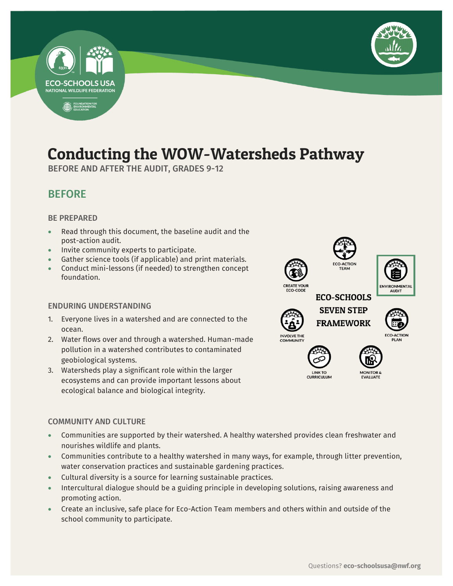

## Conducting the WOW-Watersheds Pathway

-

BEFORE AND AFTER THE AUDIT, GRADES 9-12

## BEFORE

#### BE PREPARED

**ECO-SCHOOLS USA NATIONAL WILDLIFE FEDERATION** 

FOUNDATION FOR

- Read through this document, the baseline audit and the post-action audit.
- Invite community experts to participate.
- Gather science tools (if applicable) and print materials.
- Conduct mini-lessons (if needed) to strengthen concept foundation.

#### ENDURING UNDERSTANDING

- 1. Everyone lives in a watershed and are connected to the ocean.
- 2. Water flows over and through a watershed. Human-made pollution in a watershed contributes to contaminated geobiological systems.
- 3. Watersheds play a significant role within the larger ecosystems and can provide important lessons about ecological balance and biological integrity.

#### COMMUNITY AND CULTURE

- Communities are supported by their watershed. A healthy watershed provides clean freshwater and nourishes wildlife and plants.
- Communities contribute to a healthy watershed in many ways, for example, through litter prevention, water conservation practices and sustainable gardening practices.
- Cultural diversity is a source for learning sustainable practices.
- Intercultural dialogue should be a guiding principle in developing solutions, raising awareness and promoting action.
- Create an inclusive, safe place for Eco-Action Team members and others within and outside of the school community to participate.













EVALUATE

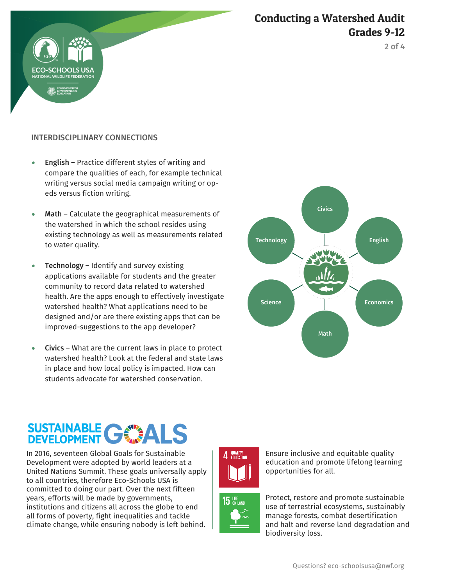



#### INTERDISCIPLINARY CONNECTIONS

**RIOOLS** 

- **English Practice different styles of writing and** compare the qualities of each, for example technical writing versus social media campaign writing or opeds versus fiction writing.
- Math Calculate the geographical measurements of the watershed in which the school resides using existing technology as well as measurements related to water quality.
- Technology Identify and survey existing applications available for students and the greater community to record data related to watershed health. Are the apps enough to effectively investigate watershed health? What applications need to be designed and/or are there existing apps that can be improved-suggestions to the app developer?
- Civics What are the current laws in place to protect watershed health? Look at the federal and state laws in place and how local policy is impacted. How can students advocate for watershed conservation.



# SUSTAINABLE C

In 2016, seventeen Global Goals for Sustainable Development were adopted by world leaders at a United Nations Summit. These goals universally apply to all countries, therefore Eco-Schools USA is committed to doing our part. Over the next fifteen years, efforts will be made by governments, institutions and citizens all across the globe to end all forms of poverty, fight inequalities and tackle climate change, while ensuring nobody is left behind.



Ensure inclusive and equitable quality education and promote lifelong learning opportunities for all.



Protect, restore and promote sustainable use of terrestrial ecosystems, sustainably manage forests, combat desertification and halt and reverse land degradation and biodiversity loss.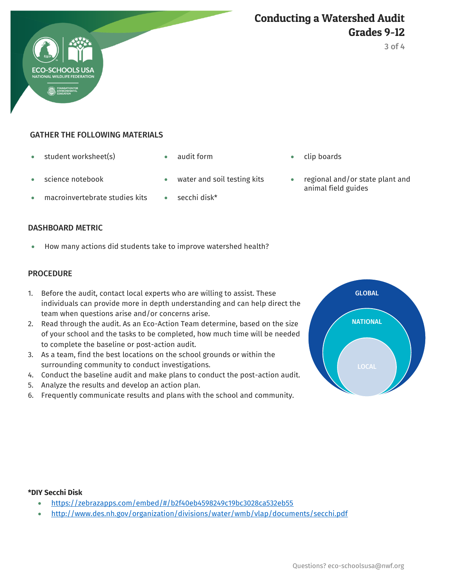

## GATHER THE FOLLOWING MATERIALS

- student worksheet(s) audit form clip boards
- 

- 
- macroinvertebrate studies kits on secchi disk\*
- 
- 
- science notebook water and soil testing kits regional and/or state plant and animal field guides

#### DASHBOARD METRIC

How many actions did students take to improve watershed health?

#### **PROCEDURE**

- 1. Before the audit, contact local experts who are willing to assist. These individuals can provide more in depth understanding and can help direct the team when questions arise and/or concerns arise.
- 2. Read through the audit. As an Eco-Action Team determine, based on the size of your school and the tasks to be completed, how much time will be needed to complete the baseline or post-action audit.
- 3. As a team, find the best locations on the school grounds or within the surrounding community to conduct investigations.
- 4. Conduct the baseline audit and make plans to conduct the post-action audit.
- 5. Analyze the results and develop an action plan.
- 6. Frequently communicate results and plans with the school and community.



#### **\*DIY Secchi Disk**

- <https://zebrazapps.com/embed/#/b2f40eb4598249c19bc3028ca532eb55>
- <http://www.des.nh.gov/organization/divisions/water/wmb/vlap/documents/secchi.pdf>